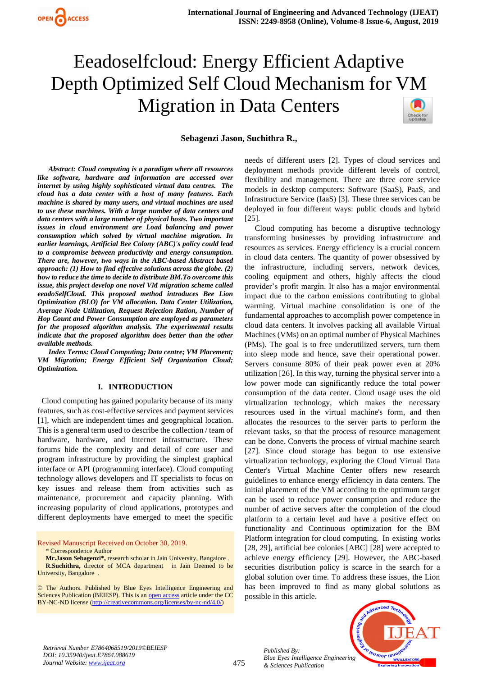

## **Sebagenzi Jason, Suchithra R.,**

*Abstract: Cloud computing is a paradigm where all resources like software, hardware and information are accessed over internet by using highly sophisticated virtual data centres. The cloud has a data center with a host of many features. Each machine is shared by many users, and virtual machines are used to use these machines. With a large number of data centers and data centers with a large number of physical hosts. Two important issues in cloud environment are Load balancing and power consumption which solved by virtual machine migration. In earlier learnings, Artificial Bee Colony (ABC)'s policy could lead to a compromise between productivity and energy consumption. There are, however, two ways in the ABC-based Abstract based approach: (1) How to find effective solutions across the globe. (2) how to reduce the time to decide to distribute BM.To overcome this issue, this project develop one novel VM migration scheme called eeadoSelfCloud. This proposed method introduces Bee Lion Optimization (BLO) for VM allocation. Data Center Utilization, Average Node Utilization, Request Rejection Ration, Number of Hop Count and Power Consumption are employed as parameters for the proposed algorithm analysis. The experimental results indicate that the proposed algorithm does better than the other available methods.*

*Index Terms: Cloud Computing; Data centre; VM Placement; VM Migration; Energy Efficient Self Organization Cloud; Optimization.* 

#### **I. INTRODUCTION**

 Cloud computing has gained popularity because of its many features, such as cost-effective services and payment services [1], which are independent times and geographical location. This is a general term used to describe the collection / team of hardware, hardware, and Internet infrastructure. These forums hide the complexity and detail of core user and program infrastructure by providing the simplest graphical interface or API (programming interface). Cloud computing technology allows developers and IT specialists to focus on key issues and release them from activities such as maintenance, procurement and capacity planning. With increasing popularity of cloud applications, prototypes and different deployments have emerged to meet the specific

Revised Manuscript Received on October 30, 2019.

\* Correspondence Author

**Mr.Jason Sebagenzi\*,** research scholar in Jain University, Bangalore . **R.Suchithra,** director of MCA department in Jain Deemed to be University, Bangalore .

© The Authors. Published by Blue Eyes Intelligence Engineering and Sciences Publication (BEIESP). This is an [open access](https://www.openaccess.nl/en/open-publications) article under the CC BY-NC-ND license [\(http://creativecommons.org/licenses/by-nc-nd/4.0/\)](http://creativecommons.org/licenses/by-nc-nd/4.0/)

needs of different users [2]. Types of cloud services and deployment methods provide different levels of control, flexibility and management. There are three core service models in desktop computers: Software (SaaS), PaaS, and Infrastructure Service (IaaS) [3]. These three services can be deployed in four different ways: public clouds and hybrid [25].

 Cloud computing has become a disruptive technology transforming businesses by providing infrastructure and resources as services. Energy efficiency is a crucial concern in cloud data centers. The quantity of power obsessived by the infrastructure, including servers, network devices, cooling equipment and others, highly affects the cloud provider's profit margin. It also has a major environmental impact due to the carbon emissions contributing to global warming. Virtual machine consolidation is one of the fundamental approaches to accomplish power competence in cloud data centers. It involves packing all available Virtual Machines (VMs) on an optimal number of Physical Machines (PMs). The goal is to free underutilized servers, turn them into sleep mode and hence, save their operational power. Servers consume 80% of their peak power even at 20% utilization [26]. In this way, turning the physical server into a low power mode can significantly reduce the total power consumption of the data center. Cloud usage uses the old virtualization technology, which makes the necessary resources used in the virtual machine's form, and then allocates the resources to the server parts to perform the relevant tasks, so that the process of resource management can be done. Converts the process of virtual machine search [27]. Since cloud storage has begun to use extensive virtualization technology, exploring the Cloud Virtual Data Center's Virtual Machine Center offers new research guidelines to enhance energy efficiency in data centers. The initial placement of the VM according to the optimum target can be used to reduce power consumption and reduce the number of active servers after the completion of the cloud platform to a certain level and have a positive effect on functionality and Continuous optimization for the BM Platform integration for cloud computing. In existing works [28, 29], artificial bee colonies [ABC] [28] were accepted to achieve energy efficiency [29]. However, the ABC-based securities distribution policy is scarce in the search for a global solution over time. To address these issues, the Lion has been improved to find as many global solutions as possible in this article.



*Retrieval Number E7864068519/2019©BEIESP DOI: 10.35940/ijeat.E7864.088619 Journal Website[: www.ijeat.org](http://www.ijeat.org/)*

*Published By:*

*& Sciences Publication*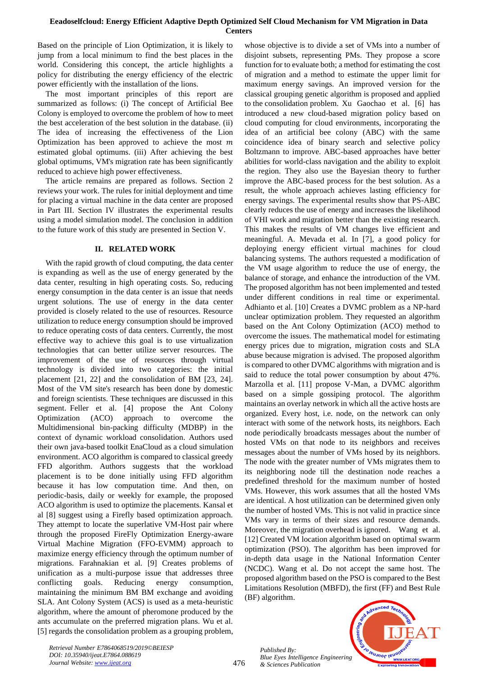Based on the principle of Lion Optimization, it is likely to jump from a local minimum to find the best places in the world. Considering this concept, the article highlights a policy for distributing the energy efficiency of the electric power efficiently with the installation of the lions.

The most important principles of this report are summarized as follows: (i) The concept of Artificial Bee Colony is employed to overcome the problem of how to meet the best acceleration of the best solution in the database. (ii) The idea of increasing the effectiveness of the Lion Optimization has been approved to achieve the most  $m$ estimated global optimums. (iii) After achieving the best global optimums, VM's migration rate has been significantly reduced to achieve high power effectiveness.

The article remains are prepared as follows. Section 2 reviews your work. The rules for initial deployment and time for placing a virtual machine in the data center are proposed in Part III. Section IV illustrates the experimental results using a model simulation model. The conclusion in addition to the future work of this study are presented in Section V.

# **II. RELATED WORK**

With the rapid growth of cloud computing, the data center is expanding as well as the use of energy generated by the data center, resulting in high operating costs. So, reducing energy consumption in the data center is an issue that needs urgent solutions. The use of energy in the data center provided is closely related to the use of resources. Resource utilization to reduce energy consumption should be improved to reduce operating costs of data centers. Currently, the most effective way to achieve this goal is to use virtualization technologies that can better utilize server resources. The improvement of the use of resources through virtual technology is divided into two categories: the initial placement [21, 22] and the consolidation of BM [23, 24]. Most of the VM site's research has been done by domestic and foreign scientists. These techniques are discussed in this segment. Feller et al. [4] propose the Ant Colony Optimization (ACO) approach to overcome the Multidimensional bin-packing difficulty (MDBP) in the context of dynamic workload consolidation. Authors used their own java-based toolkit EnaCloud as a cloud simulation environment. ACO algorithm is compared to classical greedy FFD algorithm. Authors suggests that the workload placement is to be done initially using FFD algorithm because it has low computation time. And then, on periodic-basis, daily or weekly for example, the proposed ACO algorithm is used to optimize the placements. Kansal et al [8] suggest using a Firefly based optimization approach. They attempt to locate the superlative VM-Host pair where through the proposed FireFly Optimization Energy-aware Virtual Machine Migration (FFO-EVMM) approach to maximize energy efficiency through the optimum number of migrations. Farahnakian et al. [9] Creates problems of unification as a multi-purpose issue that addresses three conflicting goals. Reducing energy consumption, maintaining the minimum BM BM exchange and avoiding SLA. Ant Colony System (ACS) is used as a meta-heuristic algorithm, where the amount of pheromone produced by the ants accumulate on the preferred migration plans. Wu et al. [5] regards the consolidation problem as a grouping problem,

whose objective is to divide a set of VMs into a number of disjoint subsets, representing PMs. They propose a score function for to evaluate both; a method for estimating the cost of migration and a method to estimate the upper limit for maximum energy savings. An improved version for the classical grouping genetic algorithm is proposed and applied to the consolidation problem. Xu Gaochao et al. [6] has introduced a new cloud-based migration policy based on cloud computing for cloud environments, incorporating the idea of an artificial bee colony (ABC) with the same coincidence idea of binary search and selective policy Boltzmann to improve. ABC-based approaches have better abilities for world-class navigation and the ability to exploit the region. They also use the Bayesian theory to further improve the ABC-based process for the best solution. As a result, the whole approach achieves lasting efficiency for energy savings. The experimental results show that PS-ABC clearly reduces the use of energy and increases the likelihood of VHI work and migration better than the existing research. This makes the results of VM changes live efficient and meaningful. A. Mevada et al. In [7], a good policy for deploying energy efficient virtual machines for cloud balancing systems. The authors requested a modification of the VM usage algorithm to reduce the use of energy, the balance of storage, and enhance the introduction of the VM. The proposed algorithm has not been implemented and tested under different conditions in real time or experimental. Adhianto et al. [10] Creates a DVMC problem as a NP-hard unclear optimization problem. They requested an algorithm based on the Ant Colony Optimization (ACO) method to overcome the issues. The mathematical model for estimating energy prices due to migration, migration costs and SLA abuse because migration is advised. The proposed algorithm is compared to other DVMC algorithms with migration and is said to reduce the total power consumption by about 47%. Marzolla et al. [11] propose V-Man, a DVMC algorithm based on a simple gossiping protocol. The algorithm maintains an overlay network in which all the active hosts are organized. Every host, i.e. node, on the network can only interact with some of the network hosts, its neighbors. Each node periodically broadcasts messages about the number of hosted VMs on that node to its neighbors and receives messages about the number of VMs hosed by its neighbors. The node with the greater number of VMs migrates them to its neighboring node till the destination node reaches a predefined threshold for the maximum number of hosted VMs. However, this work assumes that all the hosted VMs are identical. A host utilization can be determined given only the number of hosted VMs. This is not valid in practice since VMs vary in terms of their sizes and resource demands. Moreover, the migration overhead is ignored. Wang et al. [12] Created VM location algorithm based on optimal swarm optimization (PSO). The algorithm has been improved for in-depth data usage in the National Information Center (NCDC). Wang et al. Do not accept the same host. The proposed algorithm based on the PSO is compared to the Best Limitations Resolution (MBFD), the first (FF) and Best Rule (BF) algorithm.

*Published By: Blue Eyes Intelligence Engineering & Sciences Publication* 



*Retrieval Number E7864068519/2019©BEIESP DOI: 10.35940/ijeat.E7864.088619 Journal Website[: www.ijeat.org](http://www.ijeat.org/)*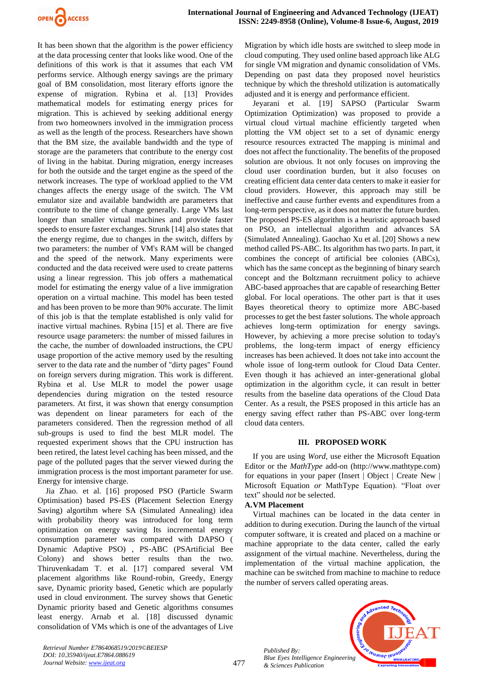

It has been shown that the algorithm is the power efficiency at the data processing center that looks like wood. One of the definitions of this work is that it assumes that each VM performs service. Although energy savings are the primary goal of BM consolidation, most literary efforts ignore the expense of migration. Rybina et al. [13] Provides mathematical models for estimating energy prices for migration. This is achieved by seeking additional energy from two homeowners involved in the immigration process as well as the length of the process. Researchers have shown that the BM size, the available bandwidth and the type of storage are the parameters that contribute to the energy cost of living in the habitat. During migration, energy increases for both the outside and the target engine as the speed of the network increases. The type of workload applied to the VM changes affects the energy usage of the switch. The VM emulator size and available bandwidth are parameters that contribute to the time of change generally. Large VMs last longer than smaller virtual machines and provide faster speeds to ensure faster exchanges. Strunk [14] also states that the energy regime, due to changes in the switch, differs by two parameters: the number of VM's RAM will be changed and the speed of the network. Many experiments were conducted and the data received were used to create patterns using a linear regression. This job offers a mathematical model for estimating the energy value of a live immigration operation on a virtual machine. This model has been tested and has been proven to be more than 90% accurate. The limit of this job is that the template established is only valid for inactive virtual machines. Rybina [15] et al. There are five resource usage parameters: the number of missed failures in the cache, the number of downloaded instructions, the CPU usage proportion of the active memory used by the resulting server to the data rate and the number of "dirty pages" Found on foreign servers during migration. This work is different. Rybina et al. Use MLR to model the power usage dependencies during migration on the tested resource parameters. At first, it was shown that energy consumption was dependent on linear parameters for each of the parameters considered. Then the regression method of all sub-groups is used to find the best MLR model. The requested experiment shows that the CPU instruction has been retired, the latest level caching has been missed, and the page of the polluted pages that the server viewed during the immigration process is the most important parameter for use. Energy for intensive charge.

Jia Zhao. et al. [16] proposed PSO (Particle Swarm Optimisation) based PS-ES (Placement Selection Energy Saving) algortihm where SA (Simulated Annealing) idea with probability theory was introduced for long term optimization on energy saving Its incremental energy consumption parameter was compared with DAPSO ( Dynamic Adaptive PSO) , PS-ABC (PSArtificial Bee Colony) and shows better results than the two. Thiruvenkadam T. et al. [17] compared several VM placement algorithms like Round-robin, Greedy, Energy save, Dynamic priority based, Genetic which are popularly used in cloud environment. The survey shows that Genetic Dynamic priority based and Genetic algorithms consumes least energy. Arnab et al. [18] discussed dynamic consolidation of VMs which is one of the advantages of Live Migration by which idle hosts are switched to sleep mode in cloud computing. They used online based approach like ALG for single VM migration and dynamic consolidation of VMs. Depending on past data they proposed novel heuristics technique by which the threshold utilization is automatically adjusted and it is energy and performance efficient.

Jeyarani et al. [19] SAPSO (Particular Swarm Optimization Optimization) was proposed to provide a virtual cloud virtual machine efficiently targeted when plotting the VM object set to a set of dynamic energy resource resources extracted The mapping is minimal and does not affect the functionality. The benefits of the proposed solution are obvious. It not only focuses on improving the cloud user coordination burden, but it also focuses on creating efficient data center data centers to make it easier for cloud providers. However, this approach may still be ineffective and cause further events and expenditures from a long-term perspective, as it does not matter the future burden. The proposed PS-ES algorithm is a heuristic approach based on PSO, an intellectual algorithm and advances SA (Simulated Annealing). Gaochao Xu et al. [20] Shows a new method called PS-ABC. Its algorithm has two parts. In part, it combines the concept of artificial bee colonies (ABCs), which has the same concept as the beginning of binary search concept and the Boltzmann recruitment policy to achieve ABC-based approaches that are capable of researching Better global. For local operations. The other part is that it uses Bayes theoretical theory to optimize more ABC-based processes to get the best faster solutions. The whole approach achieves long-term optimization for energy savings. However, by achieving a more precise solution to today's problems, the long-term impact of energy efficiency increases has been achieved. It does not take into account the whole issue of long-term outlook for Cloud Data Center. Even though it has achieved an inter-generational global optimization in the algorithm cycle, it can result in better results from the baseline data operations of the Cloud Data Center. As a result, the PSES proposed in this article has an energy saving effect rather than PS-ABC over long-term cloud data centers.

#### **III. PROPOSED WORK**

If you are using *Word,* use either the Microsoft Equation Editor or the *MathType* add-on (http://www.mathtype.com) for equations in your paper (Insert | Object | Create New | Microsoft Equation *or* MathType Equation). "Float over text" should *not* be selected.

# **A.VM Placement**

Virtual machines can be located in the data center in addition to during execution. During the launch of the virtual computer software, it is created and placed on a machine or machine appropriate to the data center, called the early assignment of the virtual machine. Nevertheless, during the implementation of the virtual machine application, the machine can be switched from machine to machine to reduce the number of servers called operating areas.

*Published By: Blue Eyes Intelligence Engineering & Sciences Publication* 



*Retrieval Number E7864068519/2019©BEIESP DOI: 10.35940/ijeat.E7864.088619 Journal Website[: www.ijeat.org](http://www.ijeat.org/)*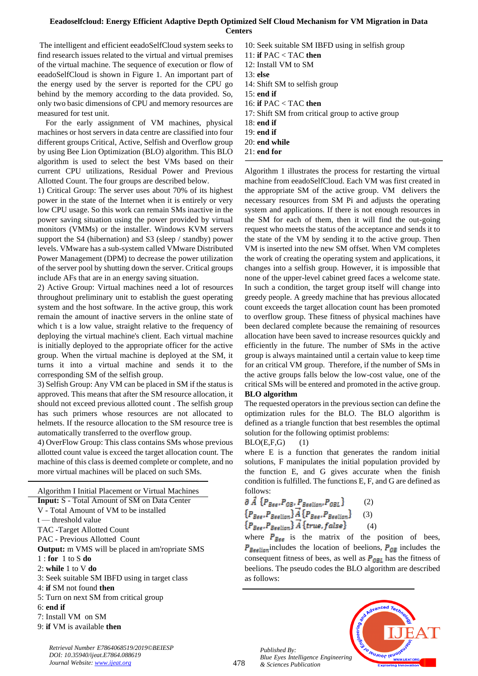The intelligent and efficient eeadoSelfCloud system seeks to find research issues related to the virtual and virtual premises of the virtual machine. The sequence of execution or flow of eeadoSelfCloud is shown in Figure 1. An important part of the energy used by the server is reported for the CPU go behind by the memory according to the data provided. So, only two basic dimensions of CPU and memory resources are measured for test unit.

For the early assignment of VM machines, physical machines or host servers in data centre are classified into four different groups Critical, Active, Selfish and Overflow group by using Bee Lion Optimization (BLO) algorithm. This BLO algorithm is used to select the best VMs based on their current CPU utilizations, Residual Power and Previous Allotted Count. The four groups are described below.

1) Critical Group: The server uses about 70% of its highest power in the state of the Internet when it is entirely or very low CPU usage. So this work can remain SMs inactive in the power saving situation using the power provided by virtual monitors (VMMs) or the installer. Windows KVM servers support the S4 (hibernation) and S3 (sleep / standby) power levels. VMware has a sub-system called VMware Distributed Power Management (DPM) to decrease the power utilization of the server pool by shutting down the server. Critical groups include AFs that are in an energy saving situation.

2) Active Group: Virtual machines need a lot of resources throughout preliminary unit to establish the guest operating system and the host software. In the active group, this work remain the amount of inactive servers in the online state of which t is a low value, straight relative to the frequency of deploying the virtual machine's client. Each virtual machine is initially deployed to the appropriate officer for the active group. When the virtual machine is deployed at the SM, it turns it into a virtual machine and sends it to the corresponding SM of the selfish group.

3) Selfish Group: Any VM can be placed in SM if the status is approved. This means that after the SM resource allocation, it should not exceed previous allotted count . The selfish group has such primers whose resources are not allocated to helmets. If the resource allocation to the SM resource tree is automatically transferred to the overflow group.

4) OverFlow Group: This class contains SMs whose previous allotted count value is exceed the target allocation count. The machine of this class is deemed complete or complete, and no more virtual machines will be placed on such SMs.

Algorithm I Initial Placement or Virtual Machines **Input:** S - Total Amount of SM on Data Center V - Total Amount of VM to be installed t — threshold value TAC -Target Allotted Count PAC - Previous Allotted Count **Output:** m VMS will be placed in am'ropriate SMS 1 : **for** 1 to S **do**  2: **while** 1 to V **do**  3: Seek suitable SM IBFD using in target class 4: **if** SM not found **then** 5: Turn on next SM from critical group 6: **end if** 7: Install VM on SM 9: **if** VM is available **then** 

*Retrieval Number E7864068519/2019©BEIESP*

*DOI: 10.35940/ijeat.E7864.088619 Journal Website[: www.ijeat.org](http://www.ijeat.org/)*

12: Install VM to SM 13: **else**  14: Shift SM to selfish group 15: **end if**  16: **if** PAC < TAC **then** 17: Shift SM from critical group to active group 18: **end if** 19: **end if** 20: **end while**

11: **if** PAC < TAC **then**

10: Seek suitable SM IBFD using in selfish group

21: **end for**

Algorithm 1 illustrates the process for restarting the virtual machine from eeadoSelfCloud. Each VM was first created in the appropriate SM of the active group. VM delivers the necessary resources from SM Pi and adjusts the operating system and applications. If there is not enough resources in the SM for each of them, then it will find the out-going request who meets the status of the acceptance and sends it to the state of the VM by sending it to the active group. Then VM is inserted into the new SM offset. When VM completes the work of creating the operating system and applications, it changes into a selfish group. However, it is impossible that none of the upper-level cabinet greed faces a welcome state. In such a condition, the target group itself will change into greedy people. A greedy machine that has previous allocated count exceeds the target allocation count has been promoted to overflow group. These fitness of physical machines have been declared complete because the remaining of resources allocation have been saved to increase resources quickly and efficiently in the future. The number of SMs in the active group is always maintained until a certain value to keep time for an critical VM group. Therefore, if the number of SMs in the active groups falls below the low-cost value, one of the critical SMs will be entered and promoted in the active group. **BLO algorithm** 

The requested operators in the previous section can define the optimization rules for the BLO. The BLO algorithm is defined as a triangle function that best resembles the optimal solution for the following optimist problems:

# $BLO(E, F, G)$  (1)

where E is a function that generates the random initial solutions, F manipulates the initial population provided by the function E, and G gives accurate when the finish condition is fulfilled. The functions E, F, and G are defined as follows:

$$
\partial \vec{A} \{P_{\text{Bes}}, P_{\text{OB}}, P_{\text{Beslion}}, P_{\text{OBL}}\} \qquad (2)
$$
\n
$$
\{P_{\text{Bes}}, P_{\text{Beslion}}\} \overline{A} \{P_{\text{Bes}}, P_{\text{Beslion}}\} \qquad (3)
$$
\n
$$
\{P_{\text{Bes}}, P_{\text{Beslion}}\} \overline{A} \{true, false\} \qquad (4)
$$

where  $P_{Bee}$  is the matrix of the position of bees,  $P_{\text{Beelion}}$  includes the location of beelions,  $P_{\text{OB}}$  includes the consequent fitness of bees, as well as  $P_{OBL}$  has the fitness of beelions. The pseudo codes the BLO algorithm are described as follows:





478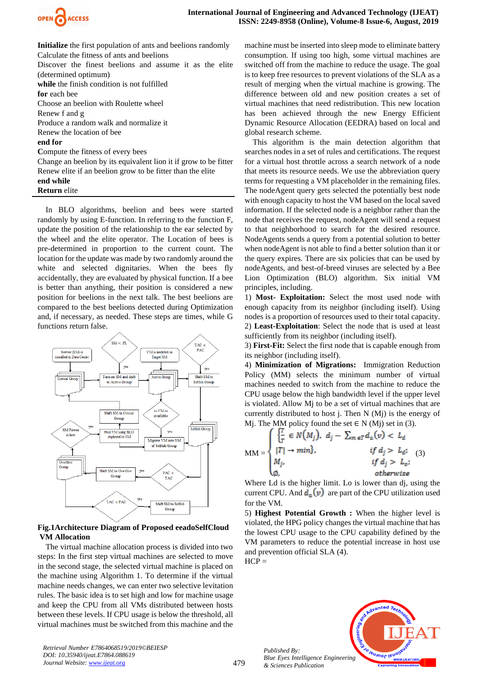

**Initialize** the first population of ants and beelions randomly Calculate the fitness of ants and beelions Discover the finest beelions and assume it as the elite (determined optimum) **while** the finish condition is not fulfilled **for** each bee Choose an beelion with Roulette wheel Renew f and g Produce a random walk and normalize it Renew the location of bee **end for C**ompute the fitness of every bees Change an beelion by its equivalent lion it if grow to be fitter Renew elite if an beelion grow to be fitter than the elite **end while** 

# **Return** elite

In BLO algorithms, beelion and bees were started randomly by using E-function. In referring to the function F, update the position of the relationship to the ear selected by the wheel and the elite operator. The Location of bees is pre-determined in proportion to the current count. The location for the update was made by two randomly around the white and selected dignitaries. When the bees fly accidentally, they are evaluated by physical function. If a bee is better than anything, their position is considered a new position for beelions in the next talk. The best beelions are compared to the best beelions detected during Optimization and, if necessary, as needed. These steps are times, while G functions return false.



# **Fig.1Architecture Diagram of Proposed eeadoSelfCloud VM Allocation**

The virtual machine allocation process is divided into two steps: In the first step virtual machines are selected to move in the second stage, the selected virtual machine is placed on the machine using Algorithm 1. To determine if the virtual machine needs changes, we can enter two selective levitation rules. The basic idea is to set high and low for machine usage and keep the CPU from all VMs distributed between hosts between these levels. If CPU usage is below the threshold, all virtual machines must be switched from this machine and the machine must be inserted into sleep mode to eliminate battery consumption. If using too high, some virtual machines are switched off from the machine to reduce the usage. The goal is to keep free resources to prevent violations of the SLA as a result of merging when the virtual machine is growing. The difference between old and new position creates a set of virtual machines that need redistribution. This new location has been achieved through the new Energy Efficient Dynamic Resource Allocation (EEDRA) based on local and global research scheme.

This algorithm is the main detection algorithm that searches nodes in a set of rules and certifications. The request for a virtual host throttle across a search network of a node that meets its resource needs. We use the abbreviation query terms for requesting a VM placeholder in the remaining files. The nodeAgent query gets selected the potentially best node with enough capacity to host the VM based on the local saved information. If the selected node is a neighbor rather than the node that receives the request, nodeAgent will send a request to that neighborhood to search for the desired resource. NodeAgents sends a query from a potential solution to better when nodeAgent is not able to find a better solution than it or the query expires. There are six policies that can be used by nodeAgents, and best-of-breed viruses are selected by a Bee Lion Optimization (BLO) algorithm. Six initial VM principles, including.

1) **Most- Exploitation:** Select the most used node with enough capacity from its neighbor (including itself). Using nodes is a proportion of resources used to their total capacity. 2) **Least-Exploitation**: Select the node that is used at least sufficiently from its neighbor (including itself).

3) **First-Fit:** Select the first node that is capable enough from its neighbor (including itself).

4) **Minimization of Migrations:** Immigration Reduction Policy (MM) selects the minimum number of virtual machines needed to switch from the machine to reduce the CPU usage below the high bandwidth level if the upper level is violated. Allow Mj to be a set of virtual machines that are currently distributed to host j. Then N (Mj) is the energy of Mj. The MM policy found the set  $\in N$  (Mj) set in (3).

|  |                                                                                | $\int \left\{ \frac{T}{\tau} \in N(M_j), d_j - \sum_{m \in \mathcal{T}} d_a(v) < L_d \right\}$ |  |
|--|--------------------------------------------------------------------------------|------------------------------------------------------------------------------------------------|--|
|  | $MM = \begin{cases}  T  \rightarrow min \}, \\ M_j, \\ \emptyset, \end{cases}$ | <i>if</i> $d_j > L_d$ ; (3)                                                                    |  |
|  |                                                                                | if $d_i > L_o$ ;                                                                               |  |
|  |                                                                                | otherwise                                                                                      |  |

Where Ld is the higher limit. Lo is lower than dj, using the current CPU. And  $d_a(v)$  are part of the CPU utilization used for the VM.

5) **Highest Potential Growth :** When the higher level is violated, the HPG policy changes the virtual machine that has the lowest CPU usage to the CPU capability defined by the VM parameters to reduce the potential increase in host use and prevention official SLA (4).



*Published By:*

*& Sciences Publication* 

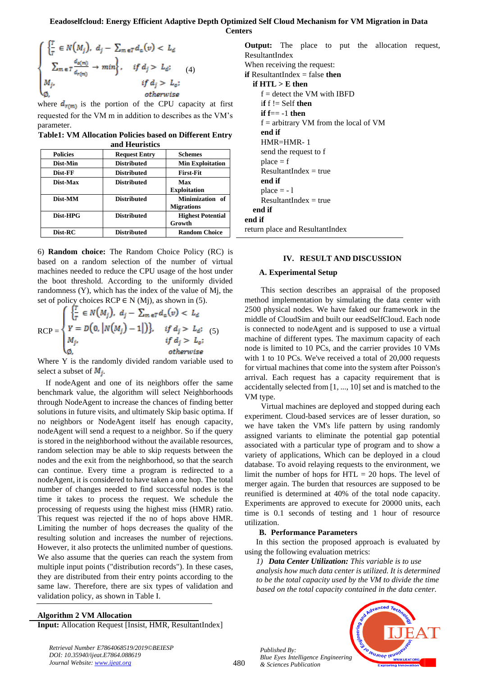$$
\begin{cases}\n\left\{\frac{T}{T} \in N(M_j), d_j - \sum_{m \in T} d_a(v) < L_d \\
\sum_{m \in T} \frac{d_{a(m)}}{d_{r(m)}} \to \min\right\}, & \text{if } d_j > L_d; \\
M_j, & \text{if } d_j > L_o; \\
\emptyset, & \text{otherwise}\n\end{cases} \tag{4}
$$

k

where  $d_{r(m)}$  is the portion of the CPU capacity at first requested for the VM m in addition to describes as the VM's parameter.

**Table1: VM Allocation Policies based on Different Entry and Heuristics**

| <u>umu tivuliotic</u> |                      |                                                |  |  |  |  |  |
|-----------------------|----------------------|------------------------------------------------|--|--|--|--|--|
| <b>Policies</b>       | <b>Request Entry</b> | <b>Schemes</b>                                 |  |  |  |  |  |
| Dist-Min              | <b>Distributed</b>   | <b>Min Exploitation</b>                        |  |  |  |  |  |
| Dist-FF               | <b>Distributed</b>   | <b>First-Fit</b>                               |  |  |  |  |  |
| Dist-Max              | <b>Distributed</b>   | Max<br><b>Exploitation</b>                     |  |  |  |  |  |
| Dist-MM               | <b>Distributed</b>   | <b>Minimization</b><br>of<br><b>Migrations</b> |  |  |  |  |  |
| Dist-HPG              | <b>Distributed</b>   | <b>Highest Potential</b><br>Growth             |  |  |  |  |  |
| Dist-RC               | <b>Distributed</b>   | <b>Random Choice</b>                           |  |  |  |  |  |

6) **Random choice:** The Random Choice Policy (RC) is based on a random selection of the number of virtual machines needed to reduce the CPU usage of the host under the boot threshold. According to the uniformly divided randomness (Y), which has the index of the value of Mj, the set of policy choices RCP  $\in$  N (Mj), as shown in (5).

$$
RCP = \begin{cases} \frac{T}{T} \in N(M_j), d_j - \sum_{m \in T} d_a(v) < L_d \\ Y = D(0, |N(M_j) - 1|) \}, & \text{if } d_j > L_d; \\ M_j, & \text{if } d_j > L_o; \\ \emptyset, & \text{otherwise} \end{cases}
$$

Where Y is the randomly divided random variable used to select a subset of  $M_i$ .

If nodeAgent and one of its neighbors offer the same benchmark value, the algorithm will select Neighborhoods through NodeAgent to increase the chances of finding better solutions in future visits, and ultimately Skip basic optima. If no neighbors or NodeAgent itself has enough capacity, nodeAgent will send a request to a neighbor. So if the query is stored in the neighborhood without the available resources, random selection may be able to skip requests between the nodes and the exit from the neighborhood, so that the search can continue. Every time a program is redirected to a nodeAgent, it is considered to have taken a one hop. The total number of changes needed to find successful nodes is the time it takes to process the request. We schedule the processing of requests using the highest miss (HMR) ratio. This request was rejected if the no of hops above HMR. Limiting the number of hops decreases the quality of the resulting solution and increases the number of rejections. However, it also protects the unlimited number of questions. We also assume that the queries can reach the system from multiple input points ("distribution records"). In these cases, they are distributed from their entry points according to the same law. Therefore, there are six types of validation and validation policy, as shown in Table I.

**Algorithm 2 VM Allocation Input:** Allocation Request [Insist, HMR, ResultantIndex]

*Retrieval Number E7864068519/2019©BEIESP DOI: 10.35940/ijeat.E7864.088619 Journal Website[: www.ijeat.org](http://www.ijeat.org/)*

|                                                |  |                         |  |  |  | <b>Output:</b> The place to put the allocation request, |  |  |  |  |
|------------------------------------------------|--|-------------------------|--|--|--|---------------------------------------------------------|--|--|--|--|
| ResultantIndex                                 |  |                         |  |  |  |                                                         |  |  |  |  |
| When receiving the request:                    |  |                         |  |  |  |                                                         |  |  |  |  |
| <b>if</b> ResultantIndex $=$ false <b>then</b> |  |                         |  |  |  |                                                         |  |  |  |  |
| if $HTL > E$ then                              |  |                         |  |  |  |                                                         |  |  |  |  |
| $f =$ detect the VM with IBFD                  |  |                         |  |  |  |                                                         |  |  |  |  |
| if $f =$ Self then                             |  |                         |  |  |  |                                                         |  |  |  |  |
| if $f == -1$ then                              |  |                         |  |  |  |                                                         |  |  |  |  |
| $f =$ arbitrary VM from the local of VM        |  |                         |  |  |  |                                                         |  |  |  |  |
| end if                                         |  |                         |  |  |  |                                                         |  |  |  |  |
| $HMR=HMR-1$                                    |  |                         |  |  |  |                                                         |  |  |  |  |
| send the request to f                          |  |                         |  |  |  |                                                         |  |  |  |  |
| $place = f$                                    |  |                         |  |  |  |                                                         |  |  |  |  |
| $ResultantIndex = true$                        |  |                         |  |  |  |                                                         |  |  |  |  |
| end if                                         |  |                         |  |  |  |                                                         |  |  |  |  |
| $place = -1$                                   |  |                         |  |  |  |                                                         |  |  |  |  |
|                                                |  | $ResultantIndex = true$ |  |  |  |                                                         |  |  |  |  |
| end if                                         |  |                         |  |  |  |                                                         |  |  |  |  |
| end if                                         |  |                         |  |  |  |                                                         |  |  |  |  |
| return place and ResultantIndex                |  |                         |  |  |  |                                                         |  |  |  |  |

# **IV. RESULT AND DISCUSSION**

#### **A. Experimental Setup**

This section describes an appraisal of the proposed method implementation by simulating the data center with 2500 physical nodes. We have faked our framework in the middle of CloudSim and built our eeadSelfCloud. Each node is connected to nodeAgent and is supposed to use a virtual machine of different types. The maximum capacity of each node is limited to 10 PCs, and the carrier provides 10 VMs with 1 to 10 PCs. We've received a total of 20,000 requests for virtual machines that come into the system after Poisson's arrival. Each request has a capacity requirement that is accidentally selected from [1, ..., 10] set and is matched to the VM type.

Virtual machines are deployed and stopped during each experiment. Cloud-based services are of lesser duration, so we have taken the VM's life pattern by using randomly assigned variants to eliminate the potential gap potential associated with a particular type of program and to show a variety of applications, Which can be deployed in a cloud database. To avoid relaying requests to the environment, we limit the number of hops for  $HTL = 20$  hops. The level of merger again. The burden that resources are supposed to be reunified is determined at 40% of the total node capacity. Experiments are approved to execute for 20000 units, each time is 0.1 seconds of testing and 1 hour of resource utilization.

# **B. Performance Parameters**

In this section the proposed approach is evaluated by using the following evaluation metrics:

*1) Data Center Utilization: This variable is to use* 

*analysis how much data center is utilized. It is determined to be the total capacity used by the VM to divide the time based on the total capacity contained in the data center.* 



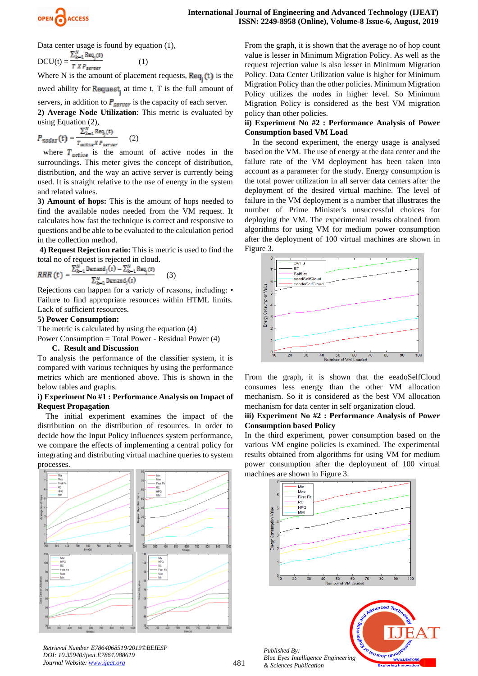

Data center usage is found by equation (1),

$$
DCU(t) = \frac{\sum_{k=1}^{n} \text{Req}_j(t)}{T \times P_{server}} \tag{1}
$$

Where N is the amount of placement requests,  $\text{Re}q_i(t)$  is the

owed ability for Request, at time t, T is the full amount of

servers, in addition to  $P_{server}$  is the capacity of each server.

**2) Average Node Utilization**: This metric is evaluated by using Equation (2),

 $\label{eq:1} P_{nodes}\left(t\right) = \frac{\sum_{k=1}^{N} \text{Req}_{\text{y}}(t)}{T_{active} \, \textit{X} \, P_{server}} \quad \quad (2)$ 

where  $T_{\text{active}}$  is the amount of active nodes in the surroundings. This meter gives the concept of distribution, distribution, and the way an active server is currently being used. It is straight relative to the use of energy in the system and related values.

**3) Amount of hops:** This is the amount of hops needed to find the available nodes needed from the VM request. It calculates how fast the technique is correct and responsive to questions and be able to be evaluated to the calculation period in the collection method.

**4) Request Rejection ratio:** This is metric is used to find the total no of request is rejected in cloud.

$$
RRR(t) = \frac{\sum_{k=1}^{N} \text{Demand}_j(t) - \sum_{k=1}^{N} \text{Req}_j(t)}{\sum_{k=1}^{N} \text{Demand}_j(t)}
$$
(3)

Rejections can happen for a variety of reasons, including: • Failure to find appropriate resources within HTML limits. Lack of sufficient resources.

#### **5) Power Consumption:**

The metric is calculated by using the equation (4)

Power Consumption = Total Power - Residual Power (4)

#### **C. Result and Discussion**

To analysis the performance of the classifier system, it is compared with various techniques by using the performance metrics which are mentioned above. This is shown in the below tables and graphs.

# **i) Experiment No #1 : Performance Analysis on Impact of Request Propagation**

The initial experiment examines the impact of the distribution on the distribution of resources. In order to decide how the Input Policy influences system performance, we compare the effects of implementing a central policy for integrating and distributing virtual machine queries to system processes.



481

*Retrieval Number E7864068519/2019©BEIESP DOI: 10.35940/ijeat.E7864.088619 Journal Website[: www.ijeat.org](http://www.ijeat.org/)*

From the graph, it is shown that the average no of hop count value is lesser in Minimum Migration Policy. As well as the request rejection value is also lesser in Minimum Migration Policy. Data Center Utilization value is higher for Minimum Migration Policy than the other policies. Minimum Migration Policy utilizes the nodes in higher level. So Minimum Migration Policy is considered as the best VM migration policy than other policies.

# **ii) Experiment No #2 : Performance Analysis of Power Consumption based VM Load**

In the second experiment, the energy usage is analysed based on the VM. The use of energy at the data center and the failure rate of the VM deployment has been taken into account as a parameter for the study. Energy consumption is the total power utilization in all server data centers after the deployment of the desired virtual machine. The level of failure in the VM deployment is a number that illustrates the number of Prime Minister's unsuccessful choices for deploying the VM. The experimental results obtained from algorithms for using VM for medium power consumption after the deployment of 100 virtual machines are shown in Figure 3.



From the graph, it is shown that the eeadoSelfCloud consumes less energy than the other VM allocation mechanism. So it is considered as the best VM allocation mechanism for data center in self organization cloud.

# **iii) Experiment No #2 : Performance Analysis of Power Consumption based Policy**

In the third experiment, power consumption based on the various VM engine policies is examined. The experimental results obtained from algorithms for using VM for medium power consumption after the deployment of 100 virtual machines are shown in Figure 3.